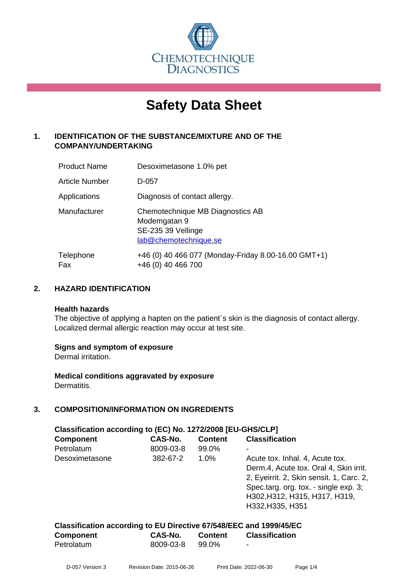

# **Safety Data Sheet**

# **1. IDENTIFICATION OF THE SUBSTANCE/MIXTURE AND OF THE COMPANY/UNDERTAKING**

| <b>Product Name</b> | Desoximetasone 1.0% pet                                                                         |  |
|---------------------|-------------------------------------------------------------------------------------------------|--|
| Article Number      | D-057                                                                                           |  |
| Applications        | Diagnosis of contact allergy.                                                                   |  |
| Manufacturer        | Chemotechnique MB Diagnostics AB<br>Modemgatan 9<br>SE-235 39 Vellinge<br>lab@chemotechnique.se |  |
| Telephone<br>Fax    | +46 (0) 40 466 077 (Monday-Friday 8.00-16.00 GMT+1)<br>+46 (0) 40 466 700                       |  |

# **2. HAZARD IDENTIFICATION**

#### **Health hazards**

The objective of applying a hapten on the patient's skin is the diagnosis of contact allergy. Localized dermal allergic reaction may occur at test site.

#### **Signs and symptom of exposure**

Dermal irritation.

**Medical conditions aggravated by exposure** Dermatitis.

# **3. COMPOSITION/INFORMATION ON INGREDIENTS**

| Classification according to (EC) No. 1272/2008 [EU-GHS/CLP] |           |                |                                          |  |  |  |
|-------------------------------------------------------------|-----------|----------------|------------------------------------------|--|--|--|
| <b>Component</b>                                            | CAS-No.   | <b>Content</b> | <b>Classification</b>                    |  |  |  |
| Petrolatum                                                  | 8009-03-8 | 99.0%          |                                          |  |  |  |
| Desoximetasone                                              | 382-67-2  | $1.0\%$        | Acute tox. Inhal. 4, Acute tox.          |  |  |  |
|                                                             |           |                | Derm.4, Acute tox. Oral 4, Skin irrit.   |  |  |  |
|                                                             |           |                | 2, Eyeirrit. 2, Skin sensit. 1, Carc. 2, |  |  |  |
|                                                             |           |                | Spec.targ. org. tox. - single exp. 3;    |  |  |  |
|                                                             |           |                | H302, H312, H315, H317, H319,            |  |  |  |
|                                                             |           |                | H332, H335, H351                         |  |  |  |

| Classification according to EU Directive 67/548/EEC and 1999/45/EC |           |         |                       |  |  |
|--------------------------------------------------------------------|-----------|---------|-----------------------|--|--|
| <b>Component</b>                                                   | CAS-No.   | Content | <b>Classification</b> |  |  |
| Petrolatum                                                         | 8009-03-8 | 99.0%   | $\sim$                |  |  |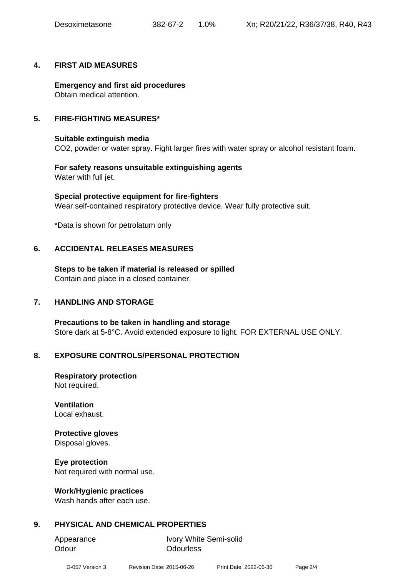#### **4. FIRST AID MEASURES**

**Emergency and first aid procedures** Obtain medical attention.

#### **5. FIRE-FIGHTING MEASURES\***

#### **Suitable extinguish media**

CO2, powder or water spray. Fight larger fires with water spray or alcohol resistant foam.

**For safety reasons unsuitable extinguishing agents** Water with full jet.

**Special protective equipment for fire-fighters** Wear self-contained respiratory protective device. Wear fully protective suit.

\*Data is shown for petrolatum only

#### **6. ACCIDENTAL RELEASES MEASURES**

**Steps to be taken if material is released or spilled** Contain and place in a closed container.

#### **7. HANDLING AND STORAGE**

**Precautions to be taken in handling and storage** Store dark at 5-8°C. Avoid extended exposure to light. FOR EXTERNAL USE ONLY.

#### **8. EXPOSURE CONTROLS/PERSONAL PROTECTION**

**Respiratory protection** Not required.

**Ventilation** Local exhaust.

#### **Protective gloves**

Disposal gloves.

#### **Eye protection**

Not required with normal use.

#### **Work/Hygienic practices**

Wash hands after each use.

# **9. PHYSICAL AND CHEMICAL PROPERTIES**

Odour **Odourless** 

Appearance Ivory White Semi-solid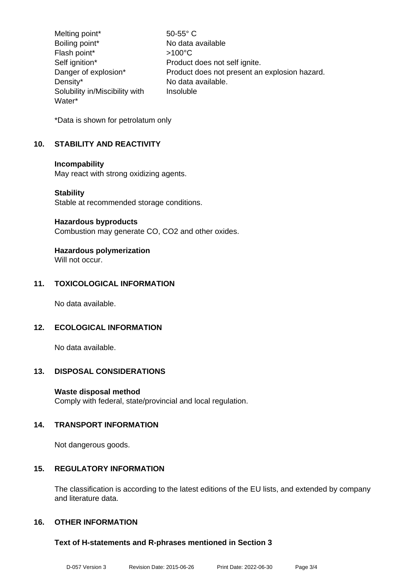Melting point\* 50-55° C Boiling point\* No data available Flash point\*  $>100^{\circ}$ C Self ignition\* Product does not self ignite. Danger of explosion\* Product does not present an explosion hazard. Density\* No data available. Solubility in/Miscibility with Water\* Insoluble

\*Data is shown for petrolatum only

# **10. STABILITY AND REACTIVITY**

#### **Incompability**

May react with strong oxidizing agents.

#### **Stability**

Stable at recommended storage conditions.

#### **Hazardous byproducts**

Combustion may generate CO, CO2 and other oxides.

# **Hazardous polymerization**

Will not occur.

# **11. TOXICOLOGICAL INFORMATION**

No data available.

# **12. ECOLOGICAL INFORMATION**

No data available.

#### **13. DISPOSAL CONSIDERATIONS**

#### **Waste disposal method**

Comply with federal, state/provincial and local regulation.

#### **14. TRANSPORT INFORMATION**

Not dangerous goods.

#### **15. REGULATORY INFORMATION**

The classification is according to the latest editions of the EU lists, and extended by company and literature data.

# **16. OTHER INFORMATION**

#### **Text of H-statements and R-phrases mentioned in Section 3**